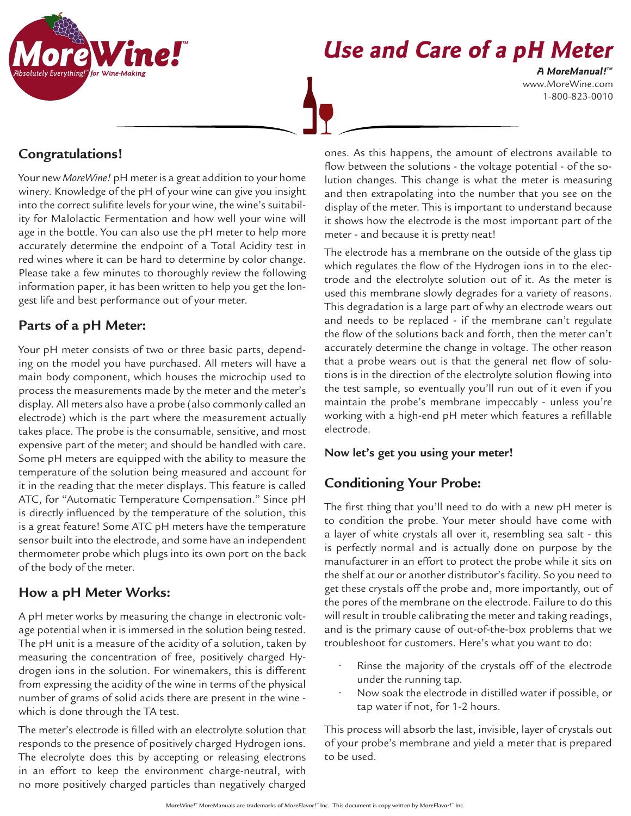

# **Use and Care of a pH Meter**

www.MoreWine.com 1-800-823-0010 **A MoreManual! ™**

## **Congratulations!**

Your new *MoreWine!* pH meter is a great addition to your home winery. Knowledge of the pH of your wine can give you insight into the correct sulifite levels for your wine, the wine's suitability for Malolactic Fermentation and how well your wine will age in the bottle. You can also use the pH meter to help more accurately determine the endpoint of a Total Acidity test in red wines where it can be hard to determine by color change. Please take a few minutes to thoroughly review the following information paper, it has been written to help you get the longest life and best performance out of your meter.

#### **Parts of a pH Meter:**

Your pH meter consists of two or three basic parts, depending on the model you have purchased. All meters will have a main body component, which houses the microchip used to process the measurements made by the meter and the meter's display. All meters also have a probe (also commonly called an electrode) which is the part where the measurement actually takes place. The probe is the consumable, sensitive, and most expensive part of the meter; and should be handled with care. Some pH meters are equipped with the ability to measure the temperature of the solution being measured and account for it in the reading that the meter displays. This feature is called ATC, for "Automatic Temperature Compensation." Since pH is directly influenced by the temperature of the solution, this is a great feature! Some ATC pH meters have the temperature sensor built into the electrode, and some have an independent thermometer probe which plugs into its own port on the back of the body of the meter.

#### **How a pH Meter Works:**

A pH meter works by measuring the change in electronic voltage potential when it is immersed in the solution being tested. The pH unit is a measure of the acidity of a solution, taken by measuring the concentration of free, positively charged Hydrogen ions in the solution. For winemakers, this is different from expressing the acidity of the wine in terms of the physical number of grams of solid acids there are present in the wine which is done through the TA test.

The meter's electrode is filled with an electrolyte solution that responds to the presence of positively charged Hydrogen ions. The elecrolyte does this by accepting or releasing electrons in an effort to keep the environment charge-neutral, with no more positively charged particles than negatively charged

ones. As this happens, the amount of electrons available to flow between the solutions - the voltage potential - of the solution changes. This change is what the meter is measuring and then extrapolating into the number that you see on the display of the meter. This is important to understand because it shows how the electrode is the most important part of the meter - and because it is pretty neat!

The electrode has a membrane on the outside of the glass tip which regulates the flow of the Hydrogen ions in to the electrode and the electrolyte solution out of it. As the meter is used this membrane slowly degrades for a variety of reasons. This degradation is a large part of why an electrode wears out and needs to be replaced - if the membrane can't regulate the flow of the solutions back and forth, then the meter can't accurately determine the change in voltage. The other reason that a probe wears out is that the general net flow of solutions is in the direction of the electrolyte solution flowing into the test sample, so eventually you'll run out of it even if you maintain the probe's membrane impeccably - unless you're working with a high-end pH meter which features a refillable electrode.

#### **Now let's get you using your meter!**

### **Conditioning Your Probe:**

The first thing that you'll need to do with a new pH meter is to condition the probe. Your meter should have come with a layer of white crystals all over it, resembling sea salt - this is perfectly normal and is actually done on purpose by the manufacturer in an effort to protect the probe while it sits on the shelf at our or another distributor's facility. So you need to get these crystals off the probe and, more importantly, out of the pores of the membrane on the electrode. Failure to do this will result in trouble calibrating the meter and taking readings, and is the primary cause of out-of-the-box problems that we troubleshoot for customers. Here's what you want to do:

- Rinse the majority of the crystals off of the electrode under the running tap.
- Now soak the electrode in distilled water if possible, or tap water if not, for 1-2 hours.

This process will absorb the last, invisible, layer of crystals out of your probe's membrane and yield a meter that is prepared to be used.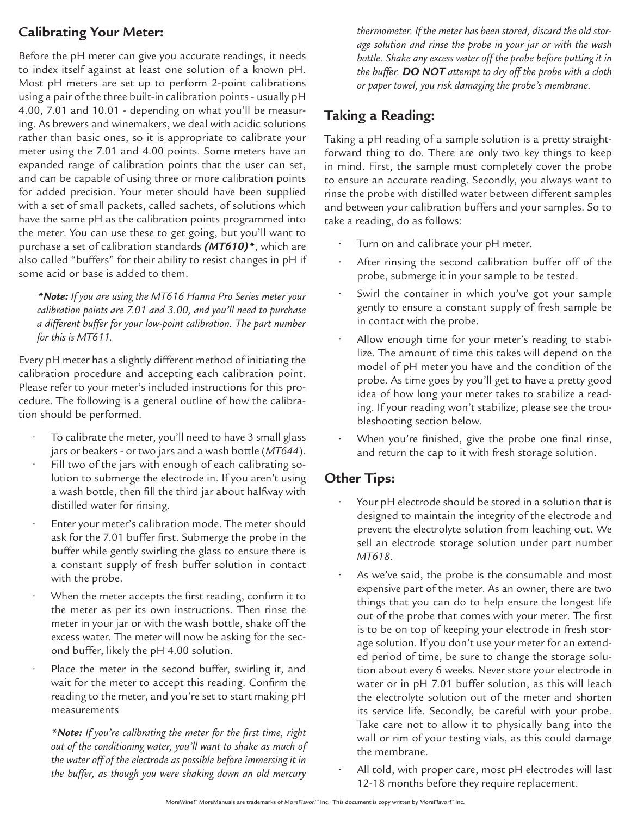# **Calibrating Your Meter:**

Before the pH meter can give you accurate readings, it needs to index itself against at least one solution of a known pH. Most pH meters are set up to perform 2-point calibrations using a pair of the three built-in calibration points - usually pH 4.00, 7.01 and 10.01 - depending on what you'll be measuring. As brewers and winemakers, we deal with acidic solutions rather than basic ones, so it is appropriate to calibrate your meter using the 7.01 and 4.00 points. Some meters have an expanded range of calibration points that the user can set, and can be capable of using three or more calibration points for added precision. Your meter should have been supplied with a set of small packets, called sachets, of solutions which have the same pH as the calibration points programmed into the meter. You can use these to get going, but you'll want to purchase a set of calibration standards *(MT610)\**, which are also called "buffers" for their ability to resist changes in pH if some acid or base is added to them.

*\*Note: If you are using the MT616 Hanna Pro Series meter your calibration points are 7.01 and 3.00, and you'll need to purchase a different buffer for your low-point calibration. The part number for this is MT611.* 

Every pH meter has a slightly different method of initiating the calibration procedure and accepting each calibration point. Please refer to your meter's included instructions for this procedure. The following is a general outline of how the calibration should be performed.

- To calibrate the meter, you'll need to have 3 small glass jars or beakers - or two jars and a wash bottle (*MT644*).
- Fill two of the jars with enough of each calibrating solution to submerge the electrode in. If you aren't using a wash bottle, then fill the third jar about halfway with distilled water for rinsing.
- Enter your meter's calibration mode. The meter should ask for the 7.01 buffer first. Submerge the probe in the buffer while gently swirling the glass to ensure there is a constant supply of fresh buffer solution in contact with the probe.
- When the meter accepts the first reading, confirm it to the meter as per its own instructions. Then rinse the meter in your jar or with the wash bottle, shake off the excess water. The meter will now be asking for the second buffer, likely the pH 4.00 solution.
- Place the meter in the second buffer, swirling it, and wait for the meter to accept this reading. Confirm the reading to the meter, and you're set to start making pH measurements

*\*Note: If you're calibrating the meter for the first time, right out of the conditioning water, you'll want to shake as much of the water off of the electrode as possible before immersing it in the buffer, as though you were shaking down an old mercury* 

*thermometer. If the meter has been stored, discard the old storage solution and rinse the probe in your jar or with the wash bottle. Shake any excess water off the probe before putting it in the buffer. DO NOT attempt to dry off the probe with a cloth or paper towel, you risk damaging the probe's membrane.*

# **Taking a Reading:**

Taking a pH reading of a sample solution is a pretty straightforward thing to do. There are only two key things to keep in mind. First, the sample must completely cover the probe to ensure an accurate reading. Secondly, you always want to rinse the probe with distilled water between different samples and between your calibration buffers and your samples. So to take a reading, do as follows:

- Turn on and calibrate your pH meter.
- After rinsing the second calibration buffer off of the probe, submerge it in your sample to be tested.
- Swirl the container in which you've got your sample gently to ensure a constant supply of fresh sample be in contact with the probe.
- Allow enough time for your meter's reading to stabilize. The amount of time this takes will depend on the model of pH meter you have and the condition of the probe. As time goes by you'll get to have a pretty good idea of how long your meter takes to stabilize a reading. If your reading won't stabilize, please see the troubleshooting section below.
- When you're finished, give the probe one final rinse, and return the cap to it with fresh storage solution.

### **Other Tips:**

- Your pH electrode should be stored in a solution that is designed to maintain the integrity of the electrode and prevent the electrolyte solution from leaching out. We sell an electrode storage solution under part number *MT618*.
- As we've said, the probe is the consumable and most expensive part of the meter. As an owner, there are two things that you can do to help ensure the longest life out of the probe that comes with your meter. The first is to be on top of keeping your electrode in fresh storage solution. If you don't use your meter for an extended period of time, be sure to change the storage solution about every 6 weeks. Never store your electrode in water or in pH 7.01 buffer solution, as this will leach the electrolyte solution out of the meter and shorten its service life. Secondly, be careful with your probe. Take care not to allow it to physically bang into the wall or rim of your testing vials, as this could damage the membrane.
	- All told, with proper care, most pH electrodes will last 12-18 months before they require replacement.